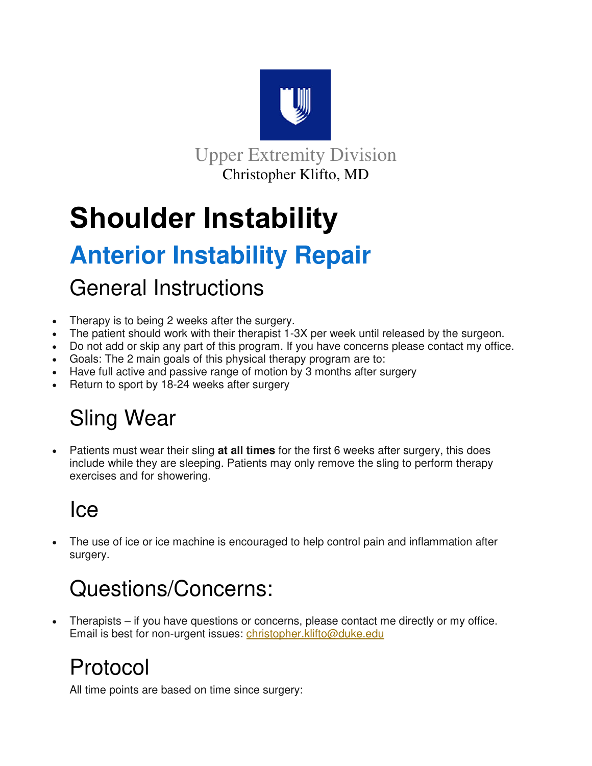

Upper Extremity Division Christopher Klifto, MD

# **Shoulder Instability**

# **Anterior Instability Repair**

### General Instructions

- Therapy is to being 2 weeks after the surgery.
- The patient should work with their therapist 1-3X per week until released by the surgeon.
- Do not add or skip any part of this program. If you have concerns please contact my office.
- Goals: The 2 main goals of this physical therapy program are to:
- Have full active and passive range of motion by 3 months after surgery
- Return to sport by 18-24 weeks after surgery

## Sling Wear

 Patients must wear their sling **at all times** for the first 6 weeks after surgery, this does include while they are sleeping. Patients may only remove the sling to perform therapy exercises and for showering.

### Ice

 The use of ice or ice machine is encouraged to help control pain and inflammation after surgery.

## Questions/Concerns:

 Therapists – if you have questions or concerns, please contact me directly or my office. Email is best for non-urgent issues: christopher.klifto@duke.edu

## Protocol

All time points are based on time since surgery: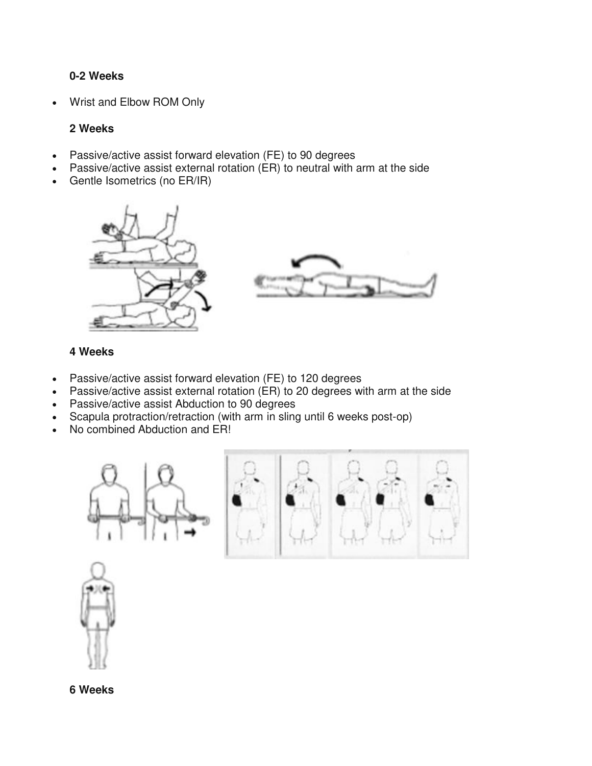### **0-2 Weeks**

Wrist and Elbow ROM Only

### **2 Weeks**

- Passive/active assist forward elevation (FE) to 90 degrees
- Passive/active assist external rotation (ER) to neutral with arm at the side
- Gentle Isometrics (no ER/IR)



#### **4 Weeks**

- Passive/active assist forward elevation (FE) to 120 degrees
- Passive/active assist external rotation (ER) to 20 degrees with arm at the side
- Passive/active assist Abduction to 90 degrees
- Scapula protraction/retraction (with arm in sling until 6 weeks post-op)
- No combined Abduction and ER!







**6 Weeks**